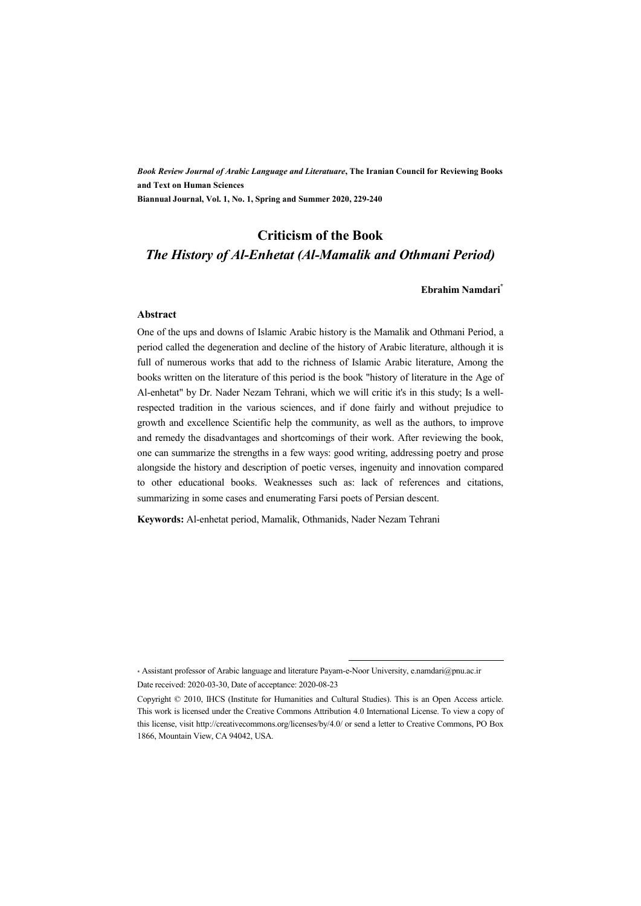*Book Review Journal of Arabic Language and Literatuare***, The Iranian Council for Reviewing Books and Text on Human Sciences Biannual Journal, Vol. 1, No. 1, Spring and Summer 2020, 229-240** 

# **Criticism of the Book**  *The History of Al-Enhetat (Al-Mamalik and Othmani Period)*

#### **Ebrahim Namdari\***

#### **Abstract**

One of the ups and downs of Islamic Arabic history is the Mamalik and Othmani Period, a period called the degeneration and decline of the history of Arabic literature, although it is full of numerous works that add to the richness of Islamic Arabic literature, Among the books written on the literature of this period is the book "history of literature in the Age of Al-enhetat" by Dr. Nader Nezam Tehrani, which we will critic it's in this study; Is a wellrespected tradition in the various sciences, and if done fairly and without prejudice to growth and excellence Scientific help the community, as well as the authors, to improve and remedy the disadvantages and shortcomings of their work. After reviewing the book, one can summarize the strengths in a few ways: good writing, addressing poetry and prose alongside the history and description of poetic verses, ingenuity and innovation compared to other educational books. Weaknesses such as: lack of references and citations, summarizing in some cases and enumerating Farsi poets of Persian descent.

**Keywords:** Al-enhetat period, Mamalik, Othmanids, Nader Nezam Tehrani

.

<sup>\*</sup> Assistant professor of Arabic language and literature Payam-e-Noor University, e.namdari@pnu.ac.ir Date received: 2020-03-30, Date of acceptance: 2020-08-23

Copyright © 2010, IHCS (Institute for Humanities and Cultural Studies). This is an Open Access article. This work is licensed under the Creative Commons Attribution 4.0 International License. To view a copy of this license, visit http://creativecommons.org/licenses/by/4.0/ or send a letter to Creative Commons, PO Box 1866, Mountain View, CA 94042, USA.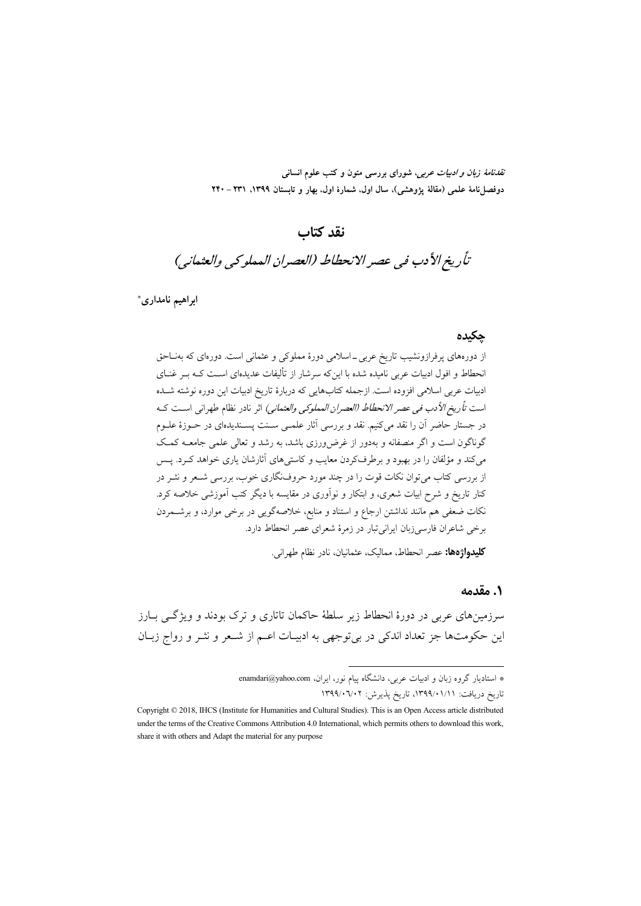*نقدنامهٔ زبان و ادبیات عربی، شورای بررسی متون و کتب علو*م انسانی دوفصل نامهٔ علمی (مقالهٔ یژوهشی)، سال اول، شمارهٔ اول، بهار و تابستان ۱۳۹۹، ۲۳۱ - ۲۴۰

# نقد كتاب

# تأريخ الأدب في عصر الانحطاط (العصران المملوكي والعثماني)

ابراهيم نامداري\*

#### حكىدە

از دورههای پرفرازونشیب تاریخ عربی ـ اسلامی دورهٔ مملوکی و عثمانی است. دورهای که بهناحق انحطاط و افول ادبیات عربی نامیده شده با اینکه سرشار از تألیفات عدیدهای اسـت کـه بـر غنــای ادبیات عربی اسلامی افزوده است. ازجمله کتابهایی که دربارهٔ تاریخ ادبیات این دوره نوشته شـده است *تأريخ الأدب في عصر الانحطاط (العصران المملوكي والعثماني)* اثر نادر نظام طهراني است كـه در جستار حاضر آن را نقد میکنیم. نقد و بررسی آثار علمـی سـنت پسـندیدهای در حــوزهٔ علــوم گوناگون است و اگر منصفانه و بهدور از غرض ورزی باشد، به رشد و تعالی علمی جامعـه کمـک می کند و مؤلفان را در بهبود و برطرفکردن معایب و کاستی های آثارشان یاری خواهد کـرد. یــس از بررسی کتاب می توان نکات قوت را در چند مورد حروف نگاری خوب، بررسی شــعر و نشـر در کنار تاریخ و شرح ابیات شعری، و ابتکار و نواّوری در مقایسه با دیگر کتب اَموزشی خلاصه کرد. نکات ضعفی هم مانند نداشتن ارجاع و استناد و منابع، خلاصهگویی در برخی موارد، و برشـمردن برخی شاعران فارسیزبان ایرانی تبار در زمرهٔ شعرای عصر انحطاط دارد.

**کلیدواژهها:** عصر انحطاط، ممالیک، عثمانیان، نادر نظام طهرانی.

#### ۱. مقدمه

سرزمینهای عربی در دورهٔ انحطاط زیر سلطهٔ حاکمان تاتاری و ترک بودند و ویژگـی بــارز این حکومتها جز تعداد اندکی در بیتوجهی به ادبیـات اعـم از شـعر و نشر و رواج زبـان

<sup>\*</sup> استادیار گروه زبان و ادبیات عربی، دانشگاه پیام نور، ایران، enamdari@yahoo.com تاریخ دریافت: ۱۳۹۹/۰۱/۱۱، تاریخ پذیرش: ۱۳۹۹/۰۷۰۲

Copyright © 2018, IHCS (Institute for Humanities and Cultural Studies). This is an Open Access article distributed under the terms of the Creative Commons Attribution 4.0 International, which permits others to download this work, share it with others and Adapt the material for any purpose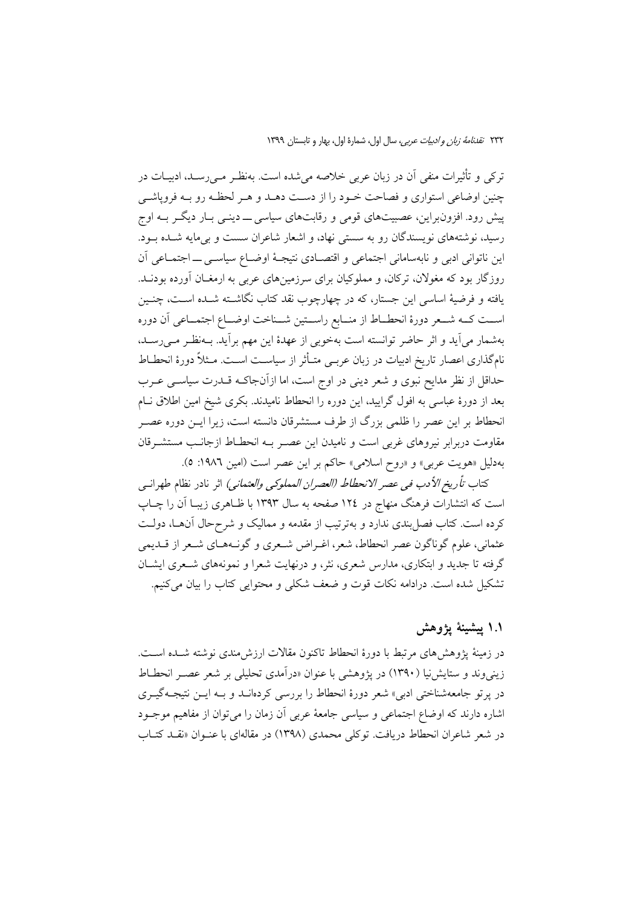ترکی و تأثیرات منفی اَن در زبان عربی خلاصه میشده است. بهنظـر مـی٫رسـد، ادبیــات در چنین اوضاعی استواری و فصاحت خـود را از دسـت دهـد و هـر لحظـه رو بـه فروپاشـی پیش رود. افزونبراین، عصبیتهای قومی و رقابتهای سیاسی ـــ دینــی بــار دیگــر بــه اوج رسید، نوشتههای نویسندگان رو به سستی نهاد، و اشعار شاعران سست و بی مایه شـده بـود. این ناتوانی ادبی و نابهسامانی اجتماعی و اقتصادی نتیجهٔ اوضاع سیاسبی ـ اجتمـاعی آن روزگار بود که مغولان، ترکان، و مملوکیان برای سرزمینهای عربی به ارمغـان آورده بودنــد. یافته و فرضیهٔ اساسی این جستار، که در چهارچوب نقد کتاب نگاشــته شــده اســت، چنــین اســت كــه شــعر دورهٔ انحطــاط از منــابع راســتين شــناخت اوضــاع اجتمــاعي أن دوره بهشمار می آید و اثر حاضر توانسته است بهخوبی از عهدهٔ این مهم برآید. بـهنظـر مـیرسـد، نامگذاری اعصار تاریخ ادبیات در زبان عربــی متــأثر از سیاســت اســت. مــثلاً دورهٔ انحطــاط حداقل از نظر مدایح نبوی و شعر دینی در اوج است، اما ازآنجاکـه قــدرت سیاســی عــرب بعد از دورهٔ عباسی به افول گرایید، این دوره را انحطاط نامیدند. بکری شیخ امین اطلاق نـام انحطاط بر این عصر را ظلمی بزرگ از طرف مستشرقان دانسته است، زیرا ایــن دوره عصــر مقاومت دربرابر نیروهای غربی است و نامیدن این عصـر بــه انحطــاط ازجانــب مستشــرقان بهدلیل «هویت عربی» و «روح اسلامی» حاکم بر این عصر است (امین ۱۹۸۲: ٥).

كتاب *تأريخ الأدب في عصر الانحطاط (العصران المملوكي والعثماني)* اثر نادر نظام طهرانسي است که انتشارات فرهنگ منهاج در ۱۲٤ صفحه به سال ۱۳۹۳ با ظـاهری زیبـا آن را چــاپ کرده است. کتاب فصل بندی ندارد و بهترتیب از مقدمه و ممالیک و شرح حال آنهـا، دولـت عثماني، علوم گوناگون عصر انحطاط، شعر، اغـراض شـعري و گونـههـاي شـعر از قــديمي گرفته تا جدید و ابتکاری، مدارس شعری، نثر، و درنهایت شعرا و نمونههای شـعری ایشـان تشکیل شده است. درادامه نکات قوت و ضعف شکلی و محتوایی کتاب را بیان می کنیم.

### ١.١ پيشينۀ يژوهش

در زمینهٔ پژوهش های مرتبط با دورهٔ انحطاط تاکنون مقالات ارزش مندی نوشته شــده اســت. زینی وند و ستایش نیا (۱۳۹۰) در یژوهشی با عنوان «درآمدی تحلیلی بر شعر عصـر انحطــاط در پرتو جامعهشناختی ادبی» شعر دورهٔ انحطاط را بررسی کردهانـد و بـه ایـن نتیجـهگیـری اشاره دارند که اوضاع اجتماعی و سیاسی جامعهٔ عربی آن زمان را می توان از مفاهیم موجــود در شعر شاعران انحطاط دریافت. توکلی محمدی (۱۳۹۸) در مقالهای با عنـوان «نقـد کتـاب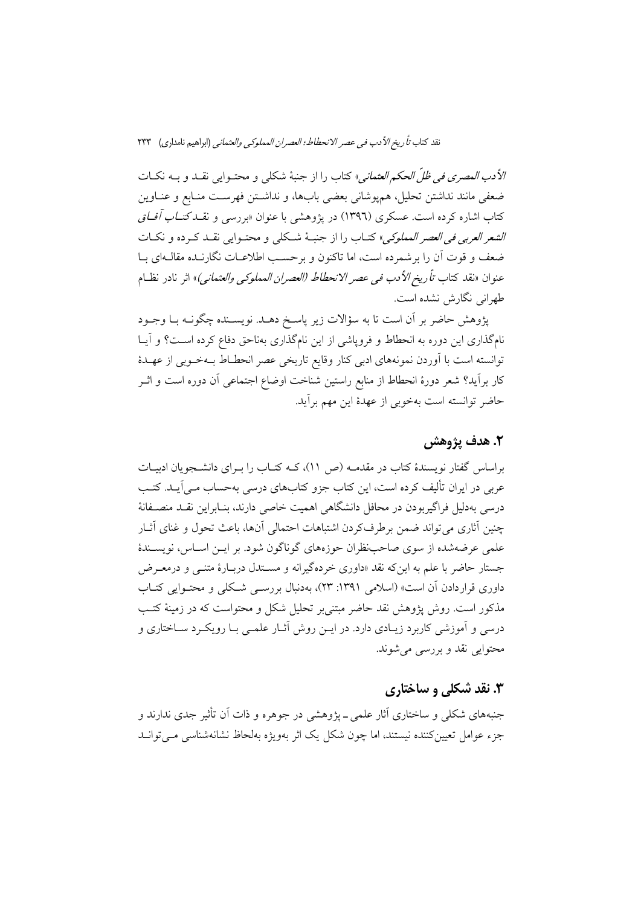الأد*ب المصري في ظلّ الحكم العثماني*» كتاب را از جنبهٔ شكلي و محتـوايي نقــد و بــه نكــات ضعفي مانند نداشتن تحليل، همپوشاني بعضي بابها، و نداشتن فهرست منـابع و عنــاوين کتاب اشاره کرده است. عسکری (۱۳۹٦) در یژوهشی با عنوان «بررسی و ن*قـدکتــاب آفــاق الشعر العربي في العصر المملوكي*» كتـاب را از جنبـهٔ شـكلي و محتـوايي نقــد كـرده و نكــات ضعف و قوت آن را بر شمرده است، اما تاکنون و بر حسب اطلاعـات نگارنــده مقالــهاي بــا عنو ان «نقد كتاب تأري*خ الأدب في عصر الانحطاط (العصران المملوكي والعثماني)*» اثر نادر نظــام طهرانی نگارش نشده است.

پژوهش حاضر بر آن است تا به سؤالات زیر پاسخ دهـد. نویســنده چگونــه بــا وجــود نامگذاری این دوره به انحطاط و فروپاشی از این نامگذاری بهناحق دفاع کرده است؟ و آیــا توانسته است با اَوردن نمونههای ادبی کنار وقایع تاریخی عصر انحطـاط بــهخــوبی از عهــدهٔ كار برأيد؟ شعر دورهٔ انحطاط از منابع راستين شناخت اوضاع اجتماعی آن دوره است و اثــر حاضر توانسته است بهخوبی از عهدهٔ این مهم برآید.

### 2. هدف يژوهش

براساس گفتار نویسندهٔ کتاب در مقدمــه (ص ۱۱)، کــه کتــاب را بــرای دانشــجویان ادبیــات عربی در ایران تألیف کرده است، این کتاب جزو کتابهای درسی بهحساب مـی آیـد. کتـب درسی بهدلیل فراگیربودن در محافل دانشگاهی اهمیت خاصی دارند، بنـابراین نقــد منصــفانهٔ چنین آثاری میتواند ضمن برطرفکردن اشتباهات احتمالی آنها، باعث تحول و غنای آثـار علمی عرضهشده از سوی صاحب نظران حوزههای گوناگون شود. بر ایــن اســاس، نویســندهٔ جستار حاضر با علم به این که نقد «داوری خردهگیرانه و مسـتدل دربـارهٔ متنـبی و درمعـرض داوری قراردادن آن است» (اسلامی ۱۳۹۱: ۲۳)، بهدنبال بررســی شــکلی و محتــوایی کتــاب مذکور است. روش پژوهش نقد حاضر مبتنی بر تحلیل شکل و محتواست که در زمینهٔ کتب درسی و آموزشی کاربرد زیـادی دارد. در ایــن روش آثــار علمــی بــا رویکــرد ســاختاری و محتوایی نقد و بررسی میشوند.

# ۳. نقد شکلي و ساختاري

جنبههای شکلی و ساختاری آثار علمی ــ یژوهشی در جوهره و ذات آن تأثیر جدی ندارند و جزء عوامل تعیینکننده نیستند، اما چون شکل یک اثر بهویژه بهلحاظ نشانهشناسی مبی توانید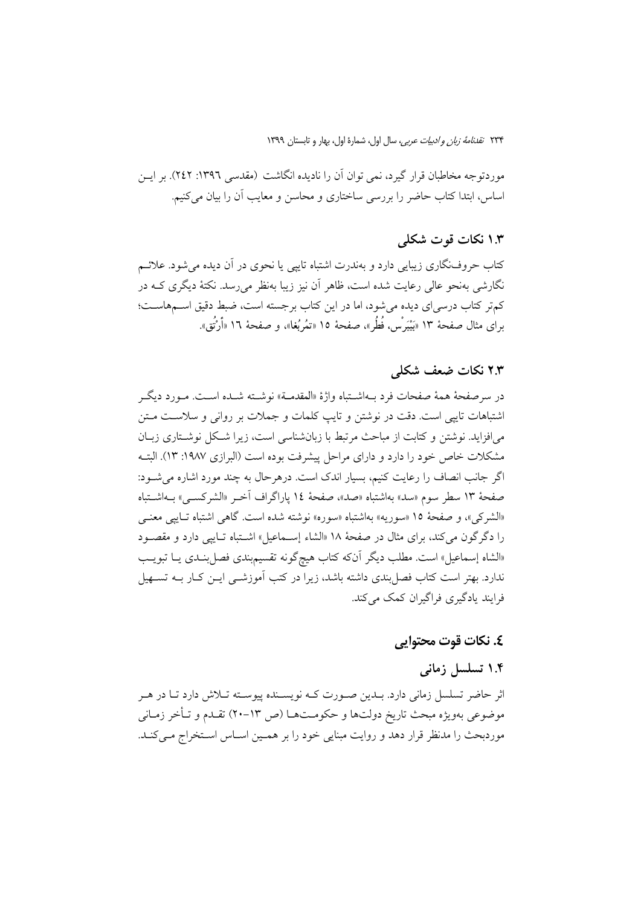موردتوجه مخاطبان قرار گیرد، نمی توان آن را نادیده انگاشت (مقدسی ۱۳۹٦: ۲٤۲). بر ایــن اساس، ابتدا كتاب حاضر را بررسي ساختاري و محاسن و معايب آن را بيان مي كنيم.

### ۱.۳ نکات قوت شکلی

کتاب حروف:گاری زیبایی دارد و بهندرت اشتباه تاییی یا نحوی در آن دیده می شود. علائــم نگارشی بهنحو عالی رعایت شده است، ظاهر اّن نیز زیبا بهنظر می رسد. نکتهٔ دیگری کـه در كمتر كتاب درسي اي ديده مي شود، اما در اين كتاب برجسته است، ضبط دقيق اســمهاســت؛ براي مثال صفحهٔ ١٣ «بَيْبَرْسْ، فُطُر»، صفحهٔ ١٥ «تمُربُغا»، و صفحهٔ ١٦ «أَرْتُق».

### ۲.۳ نکات ضعف شکلی

در سرصفحهٔ همهٔ صفحات فرد بــهاشــتباه واژهٔ «المقدمــة» نوشــته شــده اســت. مــورد ديگــر اشتباهات تاييي است. دقت در نوشتن و تايب كلمات و جملات بر رواني و سلاست مـتن می افزاید. نوشتن و کتابت از مباحث مرتبط با زبان شناسی است، زیرا شکل نوشـتاری زبـان مشکلات خاص خود را دارد و دارای مراحل پیشرفت بوده است (البرازی ۱۹۸۷: ۱۳). البتـه اگر جانب انصاف را رعایت کنیم، بسیار اندک است. درهرحال به چند مورد اشاره می شود: صفحهٔ ۱۳ سطر سوم «سد» بهاشتباه «صد»، صفحهٔ ۱۶ پاراگراف آخـر «الشرکسـی» بــهاشــتباه «الشركي»، و صفحهٔ ١٥ «سوريه» بهاشتباه «سوره» نوشته شده است. گاهي اشتباه تـاييي معنـي را دگرگون میکند، برای مثال در صفحهٔ ۱۸ «الشاء إسـماعیل» اشـتباه تـایپی دارد و مقصـود «الشاه إسماعيل» است. مطلب ديگر آنكه كتاب هيچگونه تقسيمبندي فصل بنــدي يــا تبويــب ندارد. بهتر است کتاب فصل بندی داشته باشد، زیرا در کتب آموزشــی ایــن کــار بــه تســهیل فرایند پادگیری فراگیران کمک می کند.

### **٤. نكات قوت محتوايي**

# ۱.۴ تسلسل زمانی

اثر حاضر تسلسل زمانی دارد. بـدين صـورت كـه نويسـنده پيوسـته تـلاش دارد تـا در هـر موضوعي بهويژه مبحث تاريخ دولتها و حكومـتهـا (ص ١٣–٢٠) تقـدم و تـأخر زمـاني موردبحث را مدنظر قرار دهد و روايت مبنايي خود را بر همـين اسـاس اسـتخراج مـي كنـد.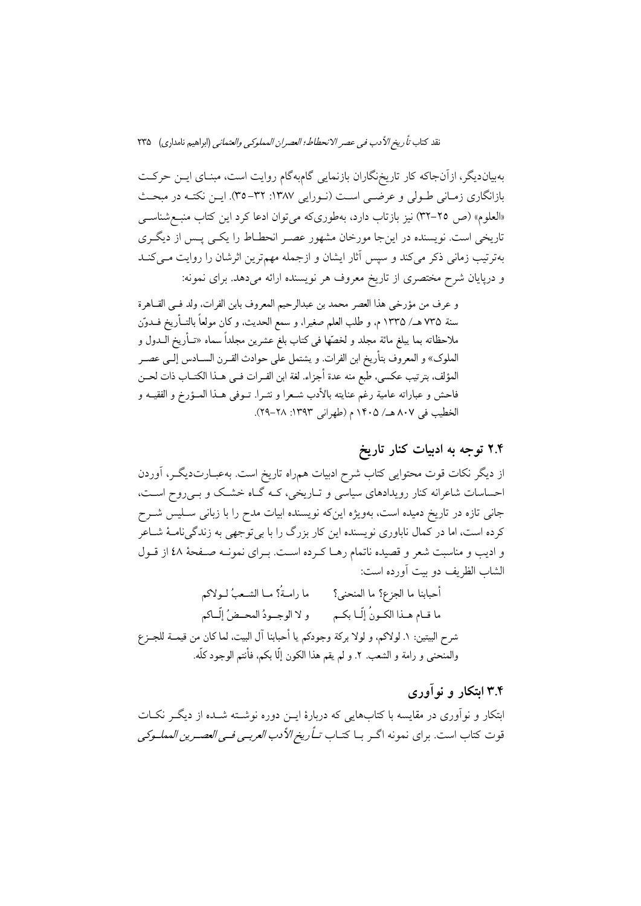بهبیاندیگر، ازآنجاکه کار تاریخنگاران بازنمایی گامبهگام روایت است، مبنـای ایـن حرکـت بازانگاری زمـانی طـولی و عرضـی اسـت (نـورایی ۱۳۸۷: ۳۲–۳۵). ایـن نکتـه در مبحـث «العلوم» (ص ٢٥-٣٢) نيز بازتاب دارد، بهطوريكه مي توان ادعا كرد اين كتاب منبع شناسبي تاریخی است. نویسنده در اینجا مورخان مشهور عصـر انحطــاط را یکــی پــس از دیگــری بهترتیب زمانی ذکر می کند و سپس آثار ایشان و ازجمله مهمترین اثرشان را روایت مـی کنــد و دریایان شرح مختصری از تاریخ معروف هر نویسنده ارائه می دهد. برای نمونه:

و عرف من مؤرخي هذا العصر محمد بن عبدالرحيم المعروف بابن الفرات، ولد فـي القــاهرة سنة ٧٣٥ هـ/ ١٣٣٥ م، و طلب العلم صغيراً، و سمع الحديث، و كان مولعاً بالتــأريخ فــدوّن ملاحظاته بما يبلغ مائة مجلد و لخصّها فى كتاب بلغ عشرين مجلداً سماه «تــأريخ الــدول و الملوك» و المعروف بتأريخ ابن الفرات. و يشتمل على حوادث القـرن الســادس إلــي عصــر المؤلف، بترتيب عكسى، طبع منه عدة أجزاء. لغة ابن الفـرات فـي هـذا الكتــاب ذات لحــن فاحش و عباراته عامية رغم عنايته بالأدب شـعرا و نشـرا. تــوفي هــذا المــؤرخ و الفقيــه و الخطيب في ٨٠٧ هـ/ ١۴٠۵ م (طهراني ١٣٩٣: ٢٨-٢٩).

# ۲.۴ توجه به ادبیات کنار تاریخ

از دیگر نکات قوت محتوایی کتاب شرح ادبیات همراه تاریخ است. بهعبـارتدیگــر، آوردن احساسات شاعرانه کنار رویدادهای سیاسی و تــاریخی، کــه گــاه خشــک و بــی٫روح اســت، جانی تازه در تاریخ دمیده است، بهویژه اینکه نویسنده ابیات مدح را با زبانی سـلیس شــرح کرده است، اما در کمال ناباوری نویسنده این کار بزرگ را با بی توجهی به زندگینامـهٔ شــاعر و ادیب و مناسبت شعر و قصیده ناتمام رهـا کـرده اسـت. بـرای نمونـه صـفحهٔ ٤٨ از قـول الشاب الظريف دو بيت آورده است:

أحبابنا ما الجزع؟ ما المنحنى؟ ما رامـةُ؟ مــا الشــعبُ لــولاكم ما قـام هـذا الكـونُ إلّـا بكـم و لا الوجـودُ المحـضُ إلّــاكم شرح البيتين: ١. لولاكم، و لولا بركة وجودكم يا أحبابنا آل البيت، لما كان من قيمــة للجــزع والمنحنى و رامة و الشعب. ٢. و لم يقم هذا الكون إلَّا بكم، فأنتم الوجود كلُّه.

### ۳.۴ ابتکار و نوآوری

ابتکار و نوآوری در مقایسه با کتابهایی که دربارهٔ ایــن دوره نوشــته شــده از دیگــر نکــات قوت كتاب است. براي نمونه اگـر بــا كتــاب *تــأ ريخ الأدب العربــي فــي العصــرين ال*مم*لــوكـي*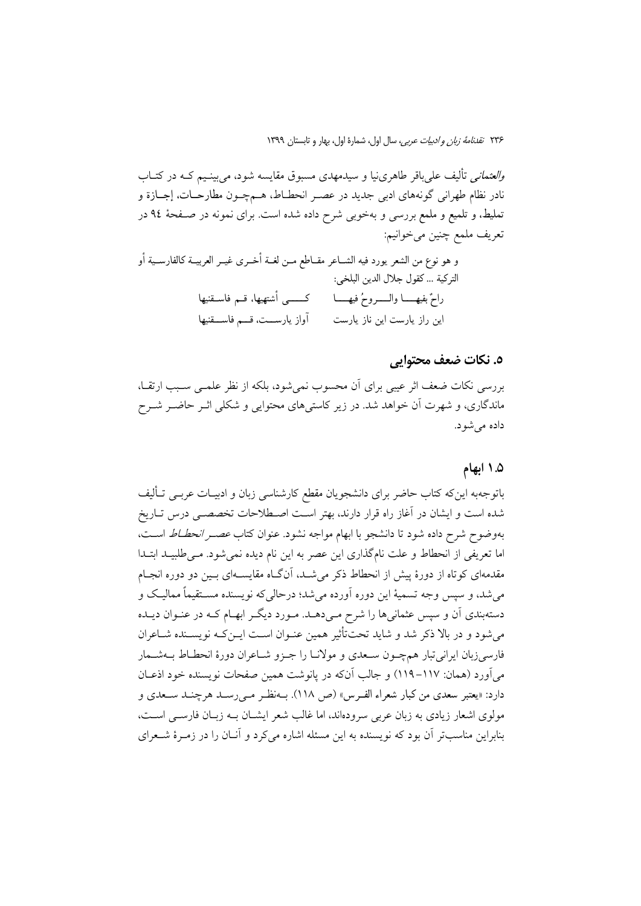*والعثمانی* تألیف علیباقر طاهرینیا و سیدمهدی مسبوق مقایسه شود، میبینیم کـه در کتــاب نادر نظام طهراني گونههاي ادبي جديد در عصـر انحطــاط، هــمچــون مطارحــات، إجــازة و تملیط، و تلمیع و ملمع بررسی و بهخوبی شرح داده شده است. برای نمونه در صـفحهٔ ۹٤ در تعريف ملمع چنين ميخوانيم:

و هو نوع من الشعر يورد فيه الشــاعر مقــاطع مــن لغــة أخــري غيــر العربيــة كالفارســية أو التركية ... كقول جلال الدين البلخي: راحٌ بفيهـــــا والــــــروحُ فيهـــــا كـــــــــى أشتهيها، قـــم فاســـقنيها آواز يارســت، قــم فاســقنيها این راز پارست این ناز پارست

#### ٥. نكات ضعف محتوابي

بررسی نکات ضعف اثر عیبی برای آن محسوب نمی شود، بلکه از نظر علمــی ســبب ارتقــا، ماندگاری، و شهرت آن خواهد شد. در زیر کاستیهای محتوایی و شکلی اثـر حاضـر شــرح داده می شو د.

#### ۵. ۱ ابهام

باتوجهبه اینکه کتاب حاضر برای دانشجویان مقطع کارشناسی زبان و ادبیـات عربــی تــألیف شده است و ایشان در آغاز راه قرار دارند، بهتر است اصطلاحات تخصصـی درس تـاریخ بهوضوح شرح داده شود تا دانشجو با ابهام مواجه نشود. عنوان کتاب *عصــر انحطــاط* اســت، اما تعریفی از انحطاط و علت نامگذاری این عصر به این نام دیده نمیشود. مـیطلبیـد ابتـدا مقدمهای کوتاه از دورهٔ پیش از انحطاط ذکر میشـد، آنگـاه مقایســهای بـین دو دوره انجـام میشد، و سپس وجه تسمیهٔ این دوره آورده میشد؛ درحالی که نویسنده مســتقیماً ممالیـک و دستهبندی آن و سپس عثمانیها را شرح مـیدهــد. مـورد دیگــر ابهــام کــه در عنــوان دیــده می شود و در بالا ذکر شد و شاید تحت تأثیر همین عنـوان اسـت ایــن کـه نویســنده شــاعران فارسیزبان ایرانیتبار همچـون سـعدی و مولانـا را جـزو شــاعران دورهٔ انحطـاط بــهشــمار مي آورد (همان: ١١٧–١١٩) و جالب آنكه در يانوشت همين صفحات نويسنده خود اذعــان دارد: «يعتبر سعدي من كبار شعراء الفـرس» (ص ١١٨). بــهنظـر مــي رسـد هرچنــد ســعدي و مولوی اشعار زیادی به زبان عربی سرودهاند، اما غالب شعر ایشــان بــه زبــان فارســی اســت، بنابراین مناسبتر آن بود که نویسنده به این مسئله اشاره می کرد و آنــان را در زمــرهٔ شــعرای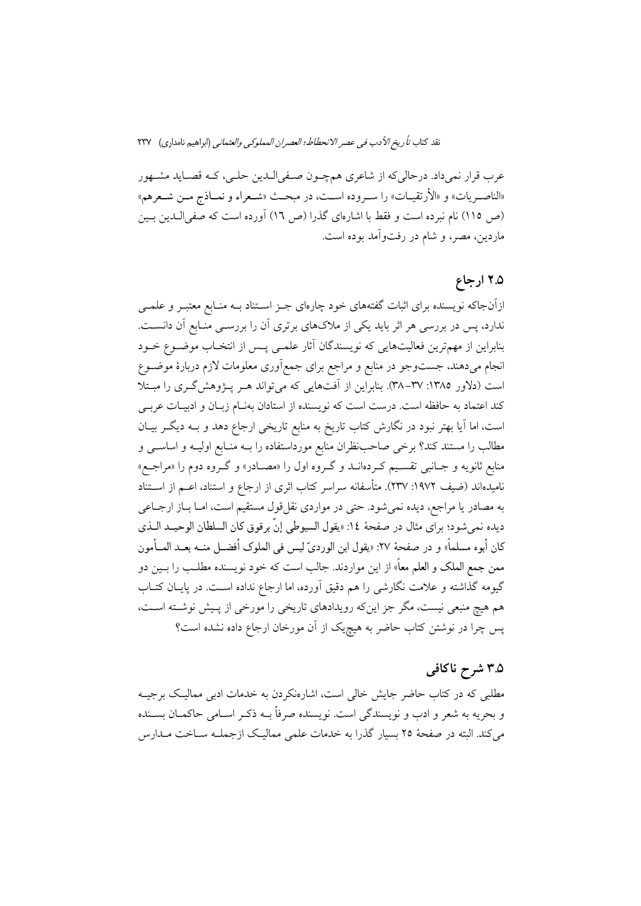عرب قرار نمي داد. درحالي كه از شاعري همچـون صـفي|لـدين حلـي، كـه قصـايد مشـهور «الناصـريات» و «الأرتقيــات» را ســروده اســت، در مبحــث «شــعراء و نمــاذج مــن شــعرهم» (ص ١١٥) نام نبرده است و فقط با اشارهاي گذرا (ص ١٦) آورده است كه صفىالـدين بـين ماردين، مصر، و شام در رفتواًمد بوده است.

# ۲.۵ ارجاع

ازآنجاکه نویسنده برای اثبات گفتههای خود چارهای جـز اســتناد بــه منــابع معتبــر و علمــی ندارد، پس در بررسی هر اثر باید یکی از ملاکهای برتری آن را بررســی منــابع آن دانســت. بنابراین از مهمترین فعالیتهایی که نویسندگان آثار علمـی پـس از انتخـاب موضـوع خـود انجام میدهند، جستوجو در منابع و مراجع برای جمع|َوری معلومات لازم دربارهٔ موضـوع است (دلاور ١٣٨٥: ٣٧–٣٨). بنابراين از آفتهايي كه مي تواند هـر پـژوهش گـري را مبـتلا كند اعتماد به حافظه است. درست است كه نويسنده از استادان بهنـام زبـان و ادبيـات عربـي است، اما آیا بهتر نبود در نگارش کتاب تاریخ به منابع تاریخی ارجاع دهد و بـه دیگـر بیـان مطالب را مستند کند؟ برخی صاحب نظران منابع مورداستفاده را بــه منــابع اولیــه و اساســی و منابع ثانویه و جـانبی تقسـیم کـردهانــد و گـروه اول را «مصــادر» و گـروه دوم را «مراجــع» نامیدهاند (ضیف ۱۹۷۲: ۲۳۷). متأسفانه سراسر کتاب اثری از ارجاع و استناد، اعــم از اســتناد به مصادر یا مراجع، دیده نمیشود. حتی در مواردی نقلقول مستقیم است، امـا بـاز ارجـاعی ديده نمي شود؛ براي مثال در صفحهٔ ١٤: «يقول السيوطي إنَّ برقوق كان السلطان الوحيــد الــذي كان أبوه مسلماً» و در صفحهٔ ٢٧: «يقول ابن الورديّ ليس في الملوك أفضـل منــه بعــد المــأمون ممن جمع الملک و العلم معاً» از این مواردند. جالب است که خود نویسنده مطلـب را بــین دو گیومه گذاشته و علامت نگارشی را هم دقیق آورده، اما ارجاع نداده است. در پایـان کتـاب هم هیچ منبعی نیست، مگر جز اینکه رویدادهای تاریخی را مورخی از پـیش نوشــته اســت، پس چرا در نوشتن کتاب حاضر به هیچیک از آن مورخان ارجاع داده نشده است؟

# ۳.۵ شرح ناکافی

مطلبی که در کتاب حاضر جایش خالی است، اشارهنکردن به خدمات ادبی ممالیک برجیــه و بحريه به شعر و ادب و نويسندگي است. نويسنده صرفاً بــه ذكـر اســامي حاكمــان بســنده می کند. البته در صفحهٔ ۲۵ بسیار گذرا به خدمات علمی ممالیـک ازجملــه ســاخت مــدارس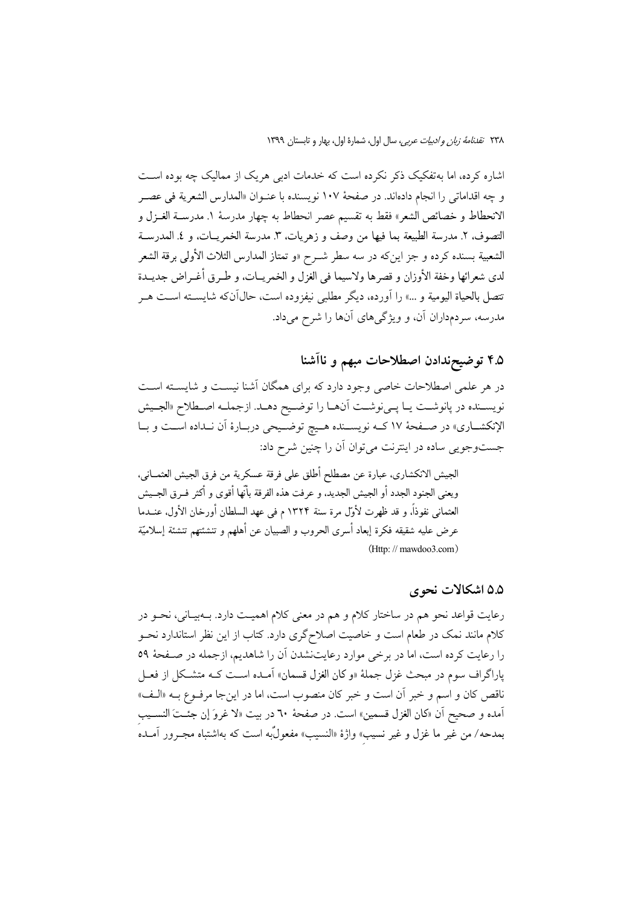اشاره کرده، اما بهتفکیک ذکر نکرده است که خدمات ادبی هریک از ممالیک چه بوده است و چه اقداماتي را انجام دادهاند. در صفحهٔ ١٠٧ نويسنده با عنـوان «المدارس الشعرية في عصـر الانحطاط و خصائص الشعر» فقط به تقسيم عصر انحطاط به چهار مدرسهٔ ۱. مدرسـة الغــزل و التصوف، ٢. مدرسة الطبيعة بما فيها من وصف و زهريات، ٣. مدرسة الخمريــات، و ٤. المدرســة الشعبية بسنده كرده و جز اينٍكه در سه سطر شـرح «و تمتاز المدارس الثلاث الأولى برقة الشعر لدي شعرائها وخفة الأوزان و قصرها ولاسيما في الغزل و الخمريــات، و طــرق أغــراض جديــدة تتصل بالحياة اليومية و …» را أورده، ديگر مطلبي نيفزوده است، حال1ّنکه شايســته اســت هــر مدرسه، سردمداران آن، و ویژگیهای آنها را شرح میداد.

# ۴.۵ توضیحندادن اصطلاحات مبهم و ناآشنا

در هر علمی اصطلاحات خاصی وجود دارد که برای همگان آشنا نیست و شایسته است نويســنده در پانوشــت يــا پــىنوشــت آنهــا را توضــيح دهــد. ازجملــه اصــطلاح «الجــيش الإنكشــاري» در صــفحهٔ ۱۷ كــه نويســنده هــيچ توضــيحي دربــارهٔ أن نــداده اســت و بــا جستوجویی ساده در اینترنت می توان آن را چنین شرح داد:

الجيش الانكشاري، عبارة عن مصطلح أطلق على فرقة عسكرية من فرق الجيش العثمــاني، ويعني الجنود الجدد أو الجيش الجديد، و عرفت هذه الفرقة بأنَّها أقوى و أكثر فـرق الجــيش العثماني نفوذاً، و قد ظهرت لأوّل مرة سنة ١٣٢۴ م في عهد السلطان أورخان الأول. عنــدما عرض عليه شقيقه فكرة إبعاد أسرى الحروب و الصبيان عن أهلهم و تنشئتهم تنشئة إسلاميّة (Http://mawdoo3.com)

#### ۵.۵ اشکالات نحوی

رعایت قواعد نحو هم در ساختار کلام و هم در معنی کلام اهمیـت دارد. بــهبیــانی، نحــو در کلام مانند نمک در طعام است و خاصیت اصلاحگری دارد. کتاب از این نظر استاندارد نحــو را رعایت کرده است، اما در برخی موارد رعایتنشدن آن را شاهدیم، ازجمله در صفحهٔ ٥٩ یاراگراف سوم در مبحث غزل جملهٔ «و کان الغزل قسمان» آمـده اسـت کـه متشـکل از فعـل ناقص كان و اسم و خبر آن است و خبر كان منصوب است، اما در اينجا مرفـوع بــه «الــف» آمده و صحيح أن «كان الغزل قسمين» است. در صفحهٔ ٦٠ در بيت «لا غروَ إن جئـتَ النســيب بمدحه/ من غير ما غزل و غير نسيب» واژهٔ «النسيب» مفعولٌبه است كه بهاشتباه مجـرور آمــده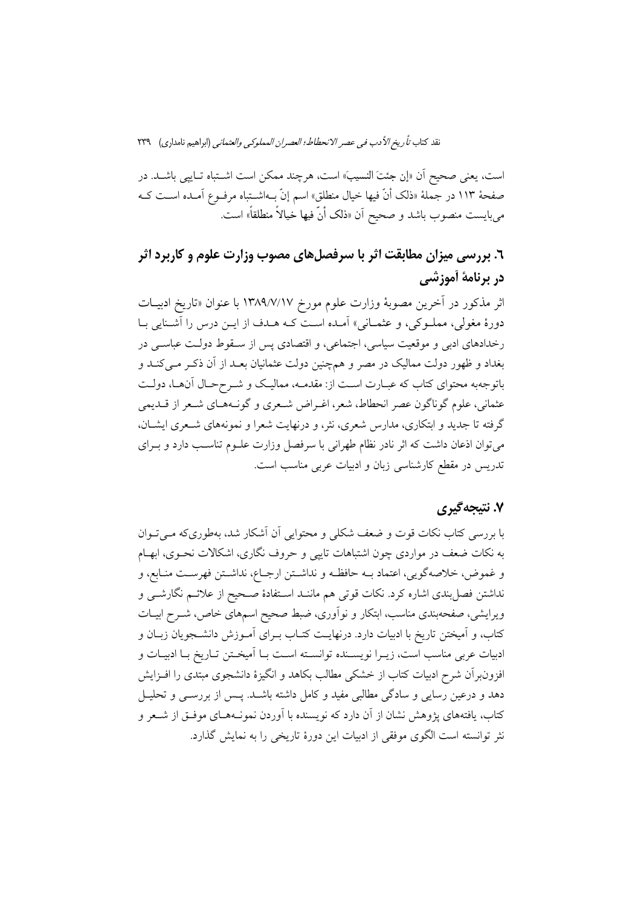است، يعني صحيح أن «إن جئتَ النسيبَ» است، هرچند ممكن است اشـتباه تـاييي باشـد. در صفحهٔ ۱۱۳ در جملهٔ «ذلک أنّ فیها خیال منطلق» اسم إنّ بـهاشــتباه مرفــوع آمــده اســت کــه میبایست منصوب باشد و صحیح آن «ذلک أنّ فیها خیالاً منطلقاً» است.

# ٦. بررسی میزان مطابقت اثر با سرفصلهای مصوب وزارت علوم و کاربرد اثر در برنامة أموزشي

اثر مذكور در آخرين مصوبة وزارت علوم مورخ ١٣٨٩/٧/١٧ با عنوان «تاريخ ادبيـات دورهٔ مغولی، مملـوکی، و عثمـانی» آمـده اسـت کـه هـدف از ايـن درس را آشـنايي بـا رخدادهای ادبی و موقعیت سیاسی، اجتماعی، و اقتصادی پس از سـقوط دولـت عباسـی در بغداد و ظهور دولت ممالیک در مصر و همچنین دولت عثمانیان بعـد از آن ذکـر مـی کنــد و باتوجهبه محتواي كتاب كه عبـارت اسـت از: مقدمــه، مماليـك و شــرححـال آن\مـا، دولـت عثماني، علوم گوناگون عصر انحطاط، شعر، اغـراض شـعري و گونـههـاي شـعر از قــديمي گرفته تا جدید و ابتکاری، مدارس شعری، نثر، و درنهایت شعرا و نمونههای شـعری ایشـان، می توان اذعان داشت که اثر نادر نظام طهرانی با سرفصل وزارت علـوم تناسـب دارد و بـرای تدریس در مقطع کارشناسی زبان و ادبیات عربی مناسب است.

### ۷. نتىجەگىرى

با بررسی کتاب نکات قوت و ضعف شکلی و محتوایی آن آشکار شد، بهطوریکه مـی تـوان به نکات ضعف در مواردی چون اشتباهات تاییبی و حروف نگاری، اشکالات نحـوی، ابهـام و غموض، خلاصهگويي، اعتماد بـه حافظـه و نداشـتن ارجـاع، نداشـتن فهرسـت منـابع، و نداشتن فصل بندی اشاره کرد. نکات قوتی هم ماننـد اسـتفادهٔ صـحیح از علائــم نگارشــی و ویرایشی، صفحهبندی مناسب، ابتکار و نوآوری، ضبط صحیح اسمهای خاص، شــرح ابیــات کتاب، و اَمیختن تاریخ با ادبیات دارد. درنهایـت کتــاب بــرای اَمــوزش دانشــجویان زبــان و ادبيات عربي مناسب است، زيـرا نويســنده توانســته اسـت بــا اَميخـتن تــاريخ بــا ادبيــات و افزون برآن شرح ادبیات کتاب از خشکی مطالب بکاهد و انگیزهٔ دانشجوی مبتدی را افـزایش دهد و درعین رسایی و سادگی مطالبی مفید و کامل داشته باشـد. پـس از بررسـی و تحلیـل کتاب، یافتههای پژوهش نشان از آن دارد که نویسنده با آوردن نمونـههـای موفـق از شـعر و نثر توانسته است الگوی موفقی از ادبیات این دورهٔ تاریخی را به نمایش گذارد.